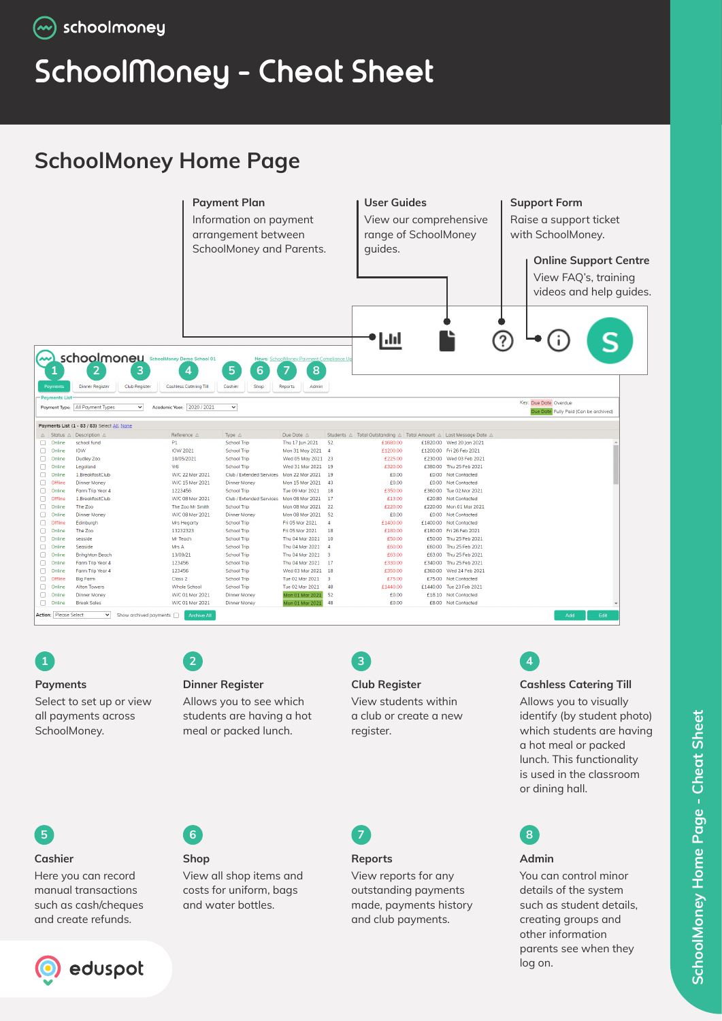# **SchoolMoney - Cheat Sheet**

## **SchoolMoney Home Page**





#### **Payments**

Select to set up or view all payments across SchoolMoney.

### **2**

**Shop**

**6**

## **Dinner Register**

View all shop items and costs for uniform, bags and water bottles.

Allows you to see which students are having a hot meal or packed lunch.

### **3**

**Reports** 

View reports for any outstanding payments made, payments history and club payments.

#### **Club Register**

View students within a club or create a new register.

## **4**

#### **Cashless Catering Till**

Allows you to visually identify (by student photo) which students are having a hot meal or packed lunch. This functionality is used in the classroom or dining hall.



#### **Admin**

You can control minor details of the system such as student details, creating groups and other information parents see when they log on.

### **Cashier**

**5**

Here you can record manual transactions such as cash/cheques and create refunds.